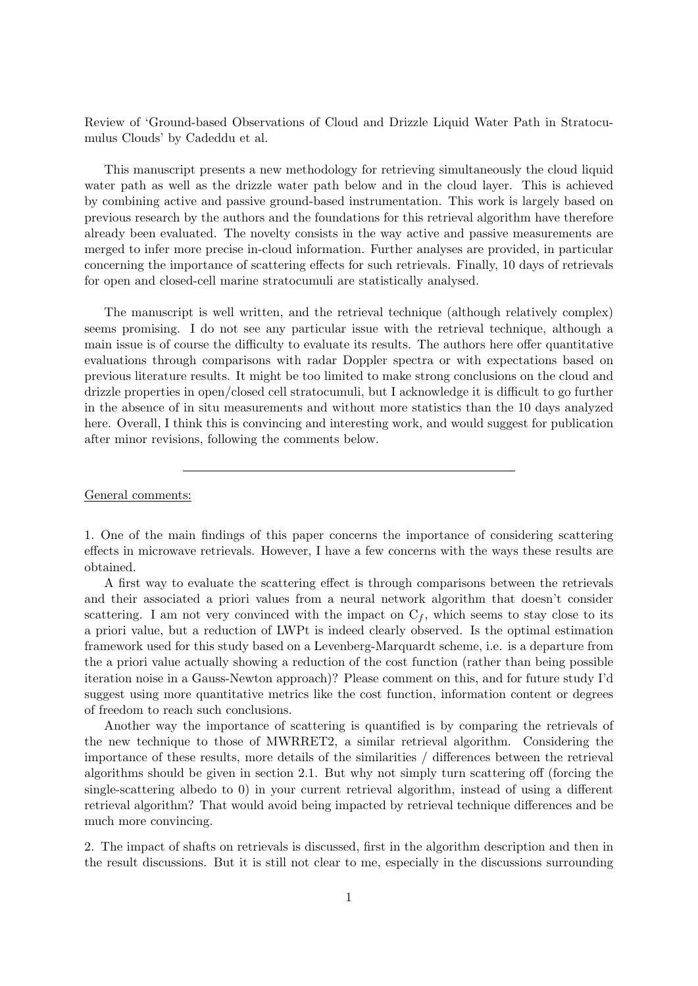Review of 'Ground-based Observations of Cloud and Drizzle Liquid Water Path in Stratocumulus Clouds' by Cadeddu et al.

This manuscript presents a new methodology for retrieving simultaneously the cloud liquid water path as well as the drizzle water path below and in the cloud layer. This is achieved by combining active and passive ground-based instrumentation. This work is largely based on previous research by the authors and the foundations for this retrieval algorithm have therefore already been evaluated. The novelty consists in the way active and passive measurements are merged to infer more precise in-cloud information. Further analyses are provided, in particular concerning the importance of scattering effects for such retrievals. Finally, 10 days of retrievals for open and closed-cell marine stratocumuli are statistically analysed.

The manuscript is well written, and the retrieval technique (although relatively complex) seems promising. I do not see any particular issue with the retrieval technique, although a main issue is of course the difficulty to evaluate its results. The authors here offer quantitative evaluations through comparisons with radar Doppler spectra or with expectations based on previous literature results. It might be too limited to make strong conclusions on the cloud and drizzle properties in open/closed cell stratocumuli, but I acknowledge it is difficult to go further in the absence of in situ measurements and without more statistics than the 10 days analyzed here. Overall, I think this is convincing and interesting work, and would suggest for publication after minor revisions, following the comments below.

## General comments:

1. One of the main findings of this paper concerns the importance of considering scattering effects in microwave retrievals. However, I have a few concerns with the ways these results are obtained.

A first way to evaluate the scattering effect is through comparisons between the retrievals and their associated a priori values from a neural network algorithm that doesn't consider scattering. I am not very convinced with the impact on  $C_f$ , which seems to stay close to its a priori value, but a reduction of LWPt is indeed clearly observed. Is the optimal estimation framework used for this study based on a Levenberg-Marquardt scheme, i.e. is a departure from the a priori value actually showing a reduction of the cost function (rather than being possible iteration noise in a Gauss-Newton approach)? Please comment on this, and for future study I'd suggest using more quantitative metrics like the cost function, information content or degrees of freedom to reach such conclusions.

Another way the importance of scattering is quantified is by comparing the retrievals of the new technique to those of MWRRET2, a similar retrieval algorithm. Considering the importance of these results, more details of the similarities / differences between the retrieval algorithms should be given in section 2.1. But why not simply turn scattering off (forcing the single-scattering albedo to 0) in your current retrieval algorithm, instead of using a different retrieval algorithm? That would avoid being impacted by retrieval technique differences and be much more convincing.

2. The impact of shafts on retrievals is discussed, first in the algorithm description and then in the result discussions. But it is still not clear to me, especially in the discussions surrounding